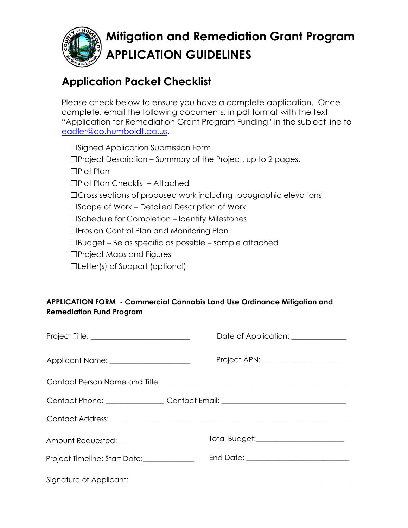

# **Mitigation and Remediation Grant Program APPLICATION GUIDELINES**

## **Application Packet Che[cklist](mailto:eadler@co.humboldt.ca.us)**

Please check below to ensure you have a complete application. Once complete, email the following documents, in pdf format with the text "Application for Remediation Grant Program Funding" in the subject line to eadler@co.humboldt.ca.us.

☐Signed Application Submission Form ☐Project Description – Summary of the Project, up to 2 pages. ☐Plot Plan ☐Plot Plan Checklist – Attached □Cross sections of proposed work including topographic elevations ☐Scope of Work – Detailed Description of Work ☐Schedule for Completion – Identify Milestones ☐Erosion Control Plan and Monitoring Plan ☐Budget – Be as specific as possible – sample attached ☐Project Maps and Figures ☐Letter(s) of Support (optional)

#### **APPLICATION FORM - Commercial Cannabis Land Use Ordinance Mitigation and Remediation Fund Program**

|                                                                                  | Date of Application: _____________   |
|----------------------------------------------------------------------------------|--------------------------------------|
| Applicant Name: _____________________                                            | Project APN: 2000 Project APN:       |
| Contact Person Name and Title: \\contact Person Name and Title:                  |                                      |
| Contact Phone: _________________Contact Email: _________________________________ |                                      |
|                                                                                  |                                      |
| Amount Requested: ___________________                                            | Total Budget: ______________________ |
| Project Timeline: Start Date:______________                                      |                                      |
|                                                                                  |                                      |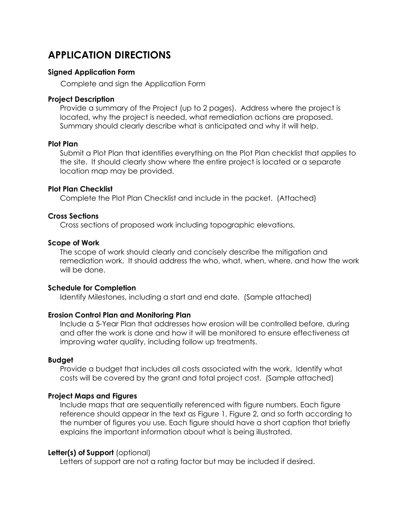## **APPLICATION DIRECTIONS**

#### **Signed Application Form**

Complete and sign the Application Form

#### **Project Description**

Provide a summary of the Project (up to 2 pages). Address where the project is located, why the project is needed, what remediation actions are proposed. Summary should clearly describe what is anticipated and why it will help.

#### **Plot Plan**

Submit a Plot Plan that identifies everything on the Plot Plan checklist that applies to the site. It should clearly show where the entire project is located or a separate location map may be provided.

#### **Plot Plan Checklist**

Complete the Plot Plan Checklist and include in the packet. (Attached)

#### **Cross Sections**

Cross sections of proposed work including topographic elevations.

#### **Scope of Work**

The scope of work should clearly and concisely describe the mitigation and remediation work. It should address the who, what, when, where, and how the work will be done.

#### **Schedule for Completion**

Identify Milestones, including a start and end date. (Sample attached)

#### **Erosion Control Plan and Monitoring Plan**

Include a 5-Year Plan that addresses how erosion will be controlled before, during and after the work is done and how it will be monitored to ensure effectiveness at improving water quality, including follow up treatments.

#### **Budget**

Provide a budget that includes all costs associated with the work. Identify what costs will be covered by the grant and total project cost. (Sample attached)

#### **Project Maps and Figures**

Include maps that are sequentially referenced with figure numbers. Each figure reference should appear in the text as Figure 1, Figure 2, and so forth according to the number of figures you use. Each figure should have a short caption that briefly explains the important information about what is being illustrated.

#### **Letter(s) of Support** (optional)

Letters of support are not a rating factor but may be included if desired.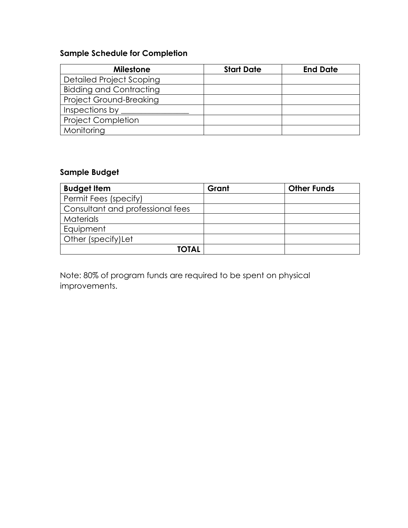## **Sample Schedule for Completion**

| <b>Milestone</b>               | <b>Start Date</b> | <b>End Date</b> |
|--------------------------------|-------------------|-----------------|
| Detailed Project Scoping       |                   |                 |
| <b>Bidding and Contracting</b> |                   |                 |
| <b>Project Ground-Breaking</b> |                   |                 |
| Inspections by                 |                   |                 |
| <b>Project Completion</b>      |                   |                 |
| Monitoring                     |                   |                 |

### **Sample Budget**

| <b>Budget Item</b>               | Grant | <b>Other Funds</b> |
|----------------------------------|-------|--------------------|
| Permit Fees (specify)            |       |                    |
| Consultant and professional fees |       |                    |
| <b>Materials</b>                 |       |                    |
| Equipment                        |       |                    |
| Other (specify) Let              |       |                    |
| <b>TOTAL</b>                     |       |                    |

Note: 80% of program funds are required to be spent on physical improvements.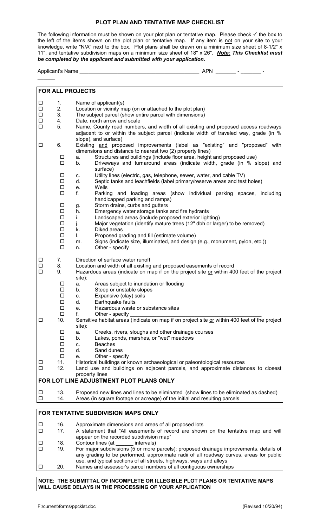#### **PLOT PLAN AND TENTATIVE MAP CHECKLIST**

The following information must be shown on your plot plan or tentative map. Please check  $\checkmark$  the box to the left of the items shown on the plot plan or tentative map. If any item is not on your site to your knowledge, write "N/A" next to the box. Plot plans shall be drawn on a minimum size sheet of 8-1/2" x 11", and tentative subdivision maps on a minimum size sheet of 18" x 26". *Note: This Checklist must be completed by the applicant and submitted with your application.*

Applicant's Name \_\_\_\_\_\_\_\_\_\_\_\_\_\_\_\_\_\_\_\_\_\_\_\_\_\_\_\_\_\_\_\_\_\_\_\_\_\_\_\_\_ APN \_\_\_\_\_\_\_ - \_\_\_\_\_\_\_ -

| <b>FOR ALL PROJECTS</b>             |                                         |                                                                                                                                                                                                                                                         |  |  |
|-------------------------------------|-----------------------------------------|---------------------------------------------------------------------------------------------------------------------------------------------------------------------------------------------------------------------------------------------------------|--|--|
| $\Box$                              | 1.                                      | Name of applicant(s)                                                                                                                                                                                                                                    |  |  |
| $\Box$                              | 2.                                      | Location or vicinity map (on or attached to the plot plan)                                                                                                                                                                                              |  |  |
| $\Box$                              | 3.                                      | The subject parcel (show entire parcel with dimensions)                                                                                                                                                                                                 |  |  |
| $\Box$                              | 4.                                      | Date, north arrow and scale                                                                                                                                                                                                                             |  |  |
| $\Box$                              | 5.                                      | Name, County road numbers, and width of all existing and proposed access roadways<br>adjacent to or within the subject parcel (indicate width of traveled way, grade (in %                                                                              |  |  |
| □                                   | 6.                                      | slope), and surface)<br>Existing and proposed improvements (label as "existing" and "proposed" with<br>dimensions and distance to nearest two (2) property lines)                                                                                       |  |  |
|                                     | $\Box$<br>$\Box$                        | Structures and buildings (include floor area, height and proposed use)<br>a.<br>Driveways and turnaround areas (indicate width, grade (in % slope) and<br>b.<br>surface)                                                                                |  |  |
|                                     | $\Box$<br>$\Box$<br>$\Box$              | Utility lines (electric, gas, telephone, sewer, water, and cable TV)<br>C.<br>d.<br>Septic tanks and leachfields (label primary/reserve areas and test holes)<br>Wells                                                                                  |  |  |
|                                     | $\Box$                                  | е.<br>f.<br>Parking and loading areas (show individual parking spaces, including<br>handicapped parking and ramps)                                                                                                                                      |  |  |
|                                     | $\Box$<br>$\Box$                        | Storm drains, curbs and gutters<br>g.<br>Emergency water storage tanks and fire hydrants<br>h.                                                                                                                                                          |  |  |
|                                     | $\Box$<br>$\Box$                        | Landscaped areas (include proposed exterior lighting)<br>i.<br>Major vegetation (identify mature trees (12" dbh or larger) to be removed)<br>j.                                                                                                         |  |  |
|                                     | $\Box$<br>$\Box$                        | Diked areas<br>k.<br>L.<br>Proposed grading and fill (estimate volume)                                                                                                                                                                                  |  |  |
|                                     | $\Box$<br>$\Box$                        | Signs (indicate size, illuminated, and design (e.g., monument, pylon, etc.))<br>m.<br>Other - specify<br>n.                                                                                                                                             |  |  |
| $\Box$                              | 7.                                      | Direction of surface water runoff                                                                                                                                                                                                                       |  |  |
| $\Box$<br>$\Box$                    | 8.<br>9.                                | Location and width of all existing and proposed easements of record<br>Hazardous areas (indicate on map if on the project site or within 400 feet of the project<br>site):                                                                              |  |  |
|                                     | □<br>$\Box$                             | Areas subject to inundation or flooding<br>a.<br>Steep or unstable slopes<br>b.                                                                                                                                                                         |  |  |
|                                     | $\Box$<br>$\Box$                        | Expansive (clay) soils<br>C.<br>Earthquake faults<br>d.                                                                                                                                                                                                 |  |  |
|                                     | $\Box$                                  | Hazardous waste or substance sites<br>е.                                                                                                                                                                                                                |  |  |
|                                     | $\Box$                                  | f.<br>Other - specify                                                                                                                                                                                                                                   |  |  |
| □                                   | 10.                                     | Sensitive habitat areas (indicate on map if on project site or within 400 feet of the project<br>site):                                                                                                                                                 |  |  |
|                                     | $\Box$<br>$\Box$                        | Creeks, rivers, sloughs and other drainage courses<br>a.                                                                                                                                                                                                |  |  |
|                                     | $\Box$                                  | Lakes, ponds, marshes, or "wet" meadows<br>b.<br><b>Beaches</b>                                                                                                                                                                                         |  |  |
|                                     | $\Box$                                  | C.<br>d.<br>Sand dunes                                                                                                                                                                                                                                  |  |  |
|                                     | $\Box$                                  | Other - specify<br>e.                                                                                                                                                                                                                                   |  |  |
| □                                   | 11.                                     | Historical buildings or known archaeological or paleontological resources                                                                                                                                                                               |  |  |
| $\Box$                              | 12.                                     | Land use and buildings on adjacent parcels, and approximate distances to closest<br>property lines                                                                                                                                                      |  |  |
|                                     | FOR LOT LINE ADJUSTMENT PLOT PLANS ONLY |                                                                                                                                                                                                                                                         |  |  |
| $\Box$<br>$\Box$                    | 13.<br>14.                              | Proposed new lines and lines to be eliminated (show lines to be eliminated as dashed)<br>Areas (in square footage or acreage) of the initial and resulting parcels                                                                                      |  |  |
|                                     |                                         |                                                                                                                                                                                                                                                         |  |  |
| FOR TENTATIVE SUBDIVISION MAPS ONLY |                                         |                                                                                                                                                                                                                                                         |  |  |
| $\Box$<br>$\Box$                    | 16.<br>17.                              | Approximate dimensions and areas of all proposed lots<br>A statement that "All easements of record are shown on the tentative map and will                                                                                                              |  |  |
|                                     |                                         | appear on the recorded subdivision map"                                                                                                                                                                                                                 |  |  |
| $\Box$                              | 18.                                     | Contour lines (at<br>intervals)                                                                                                                                                                                                                         |  |  |
| $\Box$                              | 19.                                     | For major subdivisions (5 or more parcels): proposed drainage improvements, details of<br>any grading to be performed, approximate radii of all roadway curves, areas for public<br>use, and typical sections of all streets, highways, ways and alleys |  |  |

 $\Box$  20. Names and assessor's parcel numbers of all contiguous ownerships

#### **NOTE: THE SUBMITTAL OF INCOMPLETE OR ILLEGIBLE PLOT PLANS OR TENTATIVE MAPS WILL CAUSE DELAYS IN THE PROCESSING OF YOUR APPLICATION**